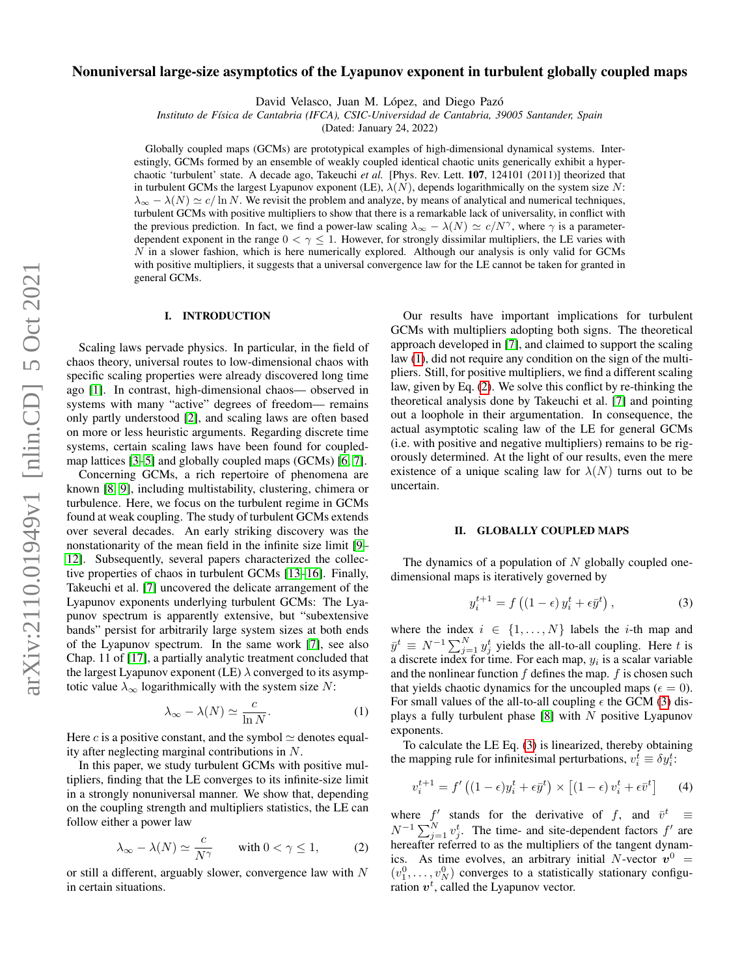# Nonuniversal large-size asymptotics of the Lyapunov exponent in turbulent globally coupled maps

David Velasco, Juan M. López, and Diego Pazó

*Instituto de F´ısica de Cantabria (IFCA), CSIC-Universidad de Cantabria, 39005 Santander, Spain*

(Dated: January 24, 2022)

Globally coupled maps (GCMs) are prototypical examples of high-dimensional dynamical systems. Interestingly, GCMs formed by an ensemble of weakly coupled identical chaotic units generically exhibit a hyperchaotic 'turbulent' state. A decade ago, Takeuchi *et al.* [Phys. Rev. Lett. 107, 124101 (2011)] theorized that in turbulent GCMs the largest Lyapunov exponent (LE),  $\lambda(N)$ , depends logarithmically on the system size N:  $\lambda_{\infty} - \lambda(N) \simeq c/\ln N$ . We revisit the problem and analyze, by means of analytical and numerical techniques, turbulent GCMs with positive multipliers to show that there is a remarkable lack of universality, in conflict with the previous prediction. In fact, we find a power-law scaling  $\lambda_{\infty} - \lambda(N) \simeq c/N^{\gamma}$ , where  $\gamma$  is a parameterdependent exponent in the range  $0 < \gamma \leq 1$ . However, for strongly dissimilar multipliers, the LE varies with  $N$  in a slower fashion, which is here numerically explored. Although our analysis is only valid for GCMs with positive multipliers, it suggests that a universal convergence law for the LE cannot be taken for granted in general GCMs.

# I. INTRODUCTION

Scaling laws pervade physics. In particular, in the field of chaos theory, universal routes to low-dimensional chaos with specific scaling properties were already discovered long time ago [\[1\]](#page-10-0). In contrast, high-dimensional chaos— observed in systems with many "active" degrees of freedom— remains only partly understood [\[2\]](#page-10-1), and scaling laws are often based on more or less heuristic arguments. Regarding discrete time systems, certain scaling laws have been found for coupledmap lattices [\[3–](#page-10-2)[5\]](#page-10-3) and globally coupled maps (GCMs) [\[6,](#page-11-0) [7\]](#page-11-1).

Concerning GCMs, a rich repertoire of phenomena are known [\[8,](#page-11-2) [9\]](#page-11-3), including multistability, clustering, chimera or turbulence. Here, we focus on the turbulent regime in GCMs found at weak coupling. The study of turbulent GCMs extends over several decades. An early striking discovery was the nonstationarity of the mean field in the infinite size limit [\[9–](#page-11-3) [12\]](#page-11-4). Subsequently, several papers characterized the collective properties of chaos in turbulent GCMs [\[13–](#page-11-5)[16\]](#page-11-6). Finally, Takeuchi et al. [\[7\]](#page-11-1) uncovered the delicate arrangement of the Lyapunov exponents underlying turbulent GCMs: The Lyapunov spectrum is apparently extensive, but "subextensive bands" persist for arbitrarily large system sizes at both ends of the Lyapunov spectrum. In the same work [\[7\]](#page-11-1), see also Chap. 11 of [\[17\]](#page-11-7), a partially analytic treatment concluded that the largest Lyapunov exponent (LE)  $\lambda$  converged to its asymptotic value  $\lambda_{\infty}$  logarithmically with the system size N:

<span id="page-0-0"></span>
$$
\lambda_{\infty} - \lambda(N) \simeq \frac{c}{\ln N}.\tag{1}
$$

Here c is a positive constant, and the symbol  $\simeq$  denotes equality after neglecting marginal contributions in N.

In this paper, we study turbulent GCMs with positive multipliers, finding that the LE converges to its infinite-size limit in a strongly nonuniversal manner. We show that, depending on the coupling strength and multipliers statistics, the LE can follow either a power law

<span id="page-0-1"></span>
$$
\lambda_{\infty} - \lambda(N) \simeq \frac{c}{N^{\gamma}} \quad \text{with } 0 < \gamma \le 1,
$$
 (2)

or still a different, arguably slower, convergence law with N in certain situations.

Our results have important implications for turbulent GCMs with multipliers adopting both signs. The theoretical approach developed in [\[7\]](#page-11-1), and claimed to support the scaling law [\(1\)](#page-0-0), did not require any condition on the sign of the multipliers. Still, for positive multipliers, we find a different scaling law, given by Eq. [\(2\)](#page-0-1). We solve this conflict by re-thinking the theoretical analysis done by Takeuchi et al. [\[7\]](#page-11-1) and pointing out a loophole in their argumentation. In consequence, the actual asymptotic scaling law of the LE for general GCMs (i.e. with positive and negative multipliers) remains to be rigorously determined. At the light of our results, even the mere existence of a unique scaling law for  $\lambda(N)$  turns out to be uncertain.

# II. GLOBALLY COUPLED MAPS

The dynamics of a population of  $N$  globally coupled onedimensional maps is iteratively governed by

<span id="page-0-2"></span>
$$
y_i^{t+1} = f\left((1 - \epsilon)\, y_i^t + \epsilon \bar{y}^t\right),\tag{3}
$$

where the index  $i \in \{1, ..., N\}$  labels the *i*-th map and  $\bar{y}^t \equiv N^{-1} \sum_{j=1}^N y_j^t$  yields the all-to-all coupling. Here t is a discrete index for time. For each map,  $y_i$  is a scalar variable and the nonlinear function  $f$  defines the map.  $f$  is chosen such that yields chaotic dynamics for the uncoupled maps ( $\epsilon = 0$ ). For small values of the all-to-all coupling  $\epsilon$  the GCM [\(3\)](#page-0-2) displays a fully turbulent phase  $[8]$  with N positive Lyapunov exponents.

To calculate the LE Eq. [\(3\)](#page-0-2) is linearized, thereby obtaining the mapping rule for infinitesimal perturbations,  $v_i^t \equiv \delta y_i^t$ :

<span id="page-0-3"></span>
$$
v_i^{t+1} = f'((1 - \epsilon)y_i^t + \epsilon \bar{y}^t) \times [(1 - \epsilon)v_i^t + \epsilon \bar{v}^t]
$$
 (4)

where f' stands for the derivative of f, and  $\bar{v}^t \equiv$  $N^{-1} \sum_{j=1}^{N} v_j^t$ . The time- and site-dependent factors  $f'$  are hereafter referred to as the multipliers of the tangent dynamics. As time evolves, an arbitrary initial N-vector  $v^0$  =  $(v_1^0, \ldots, v_N^0)$  converges to a statistically stationary configuration  $v^t$ , called the Lyapunov vector.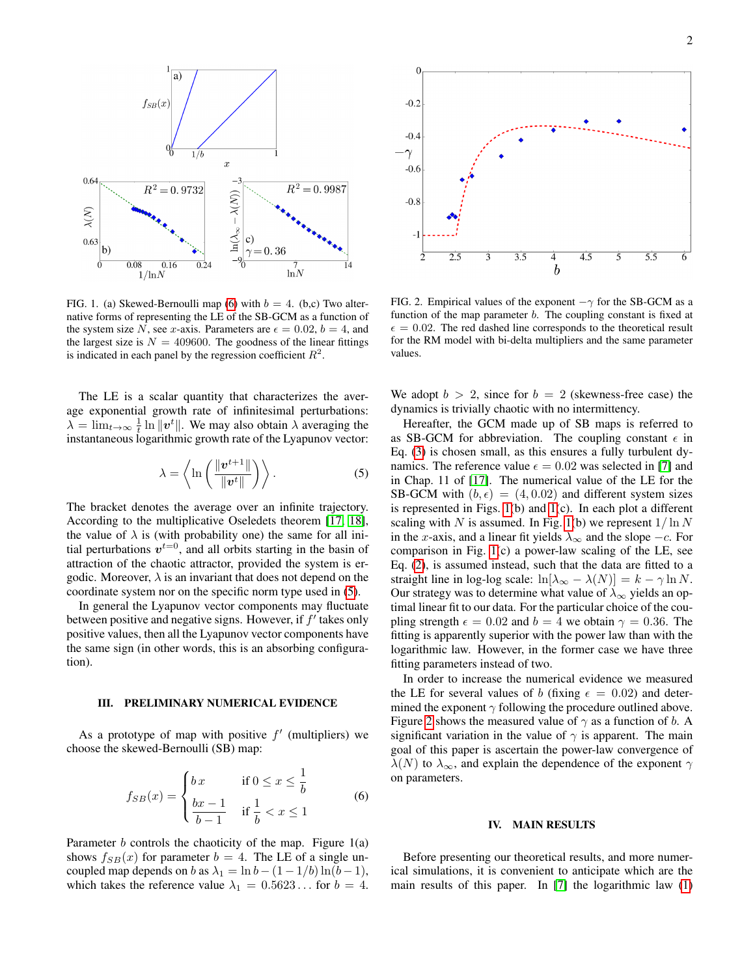

<span id="page-1-2"></span>FIG. 1. (a) Skewed-Bernoulli map [\(6\)](#page-1-0) with  $b = 4$ . (b,c) Two alternative forms of representing the LE of the SB-GCM as a function of the system size N, see x-axis. Parameters are  $\epsilon = 0.02$ ,  $b = 4$ , and the largest size is  $N = 409600$ . The goodness of the linear fittings is indicated in each panel by the regression coefficient  $R^2$ .

The LE is a scalar quantity that characterizes the average exponential growth rate of infinitesimal perturbations:  $\lambda = \lim_{t \to \infty} \frac{1}{t} \ln \|v^t\|$ . We may also obtain  $\lambda$  averaging the instantaneous logarithmic growth rate of the Lyapunov vector:

<span id="page-1-1"></span>
$$
\lambda = \left\langle \ln \left( \frac{\|\boldsymbol{v}^{t+1}\|}{\|\boldsymbol{v}^t\|} \right) \right\rangle. \tag{5}
$$

The bracket denotes the average over an infinite trajectory. According to the multiplicative Oseledets theorem [\[17,](#page-11-7) [18\]](#page-11-8), the value of  $\lambda$  is (with probability one) the same for all initial perturbations  $v^{t=0}$ , and all orbits starting in the basin of attraction of the chaotic attractor, provided the system is ergodic. Moreover,  $\lambda$  is an invariant that does not depend on the coordinate system nor on the specific norm type used in [\(5\)](#page-1-1).

In general the Lyapunov vector components may fluctuate between positive and negative signs. However, if  $f'$  takes only positive values, then all the Lyapunov vector components have the same sign (in other words, this is an absorbing configuration).

# III. PRELIMINARY NUMERICAL EVIDENCE

As a prototype of map with positive  $f'$  (multipliers) we choose the skewed-Bernoulli (SB) map:

<span id="page-1-0"></span>
$$
f_{SB}(x) = \begin{cases} bx & \text{if } 0 \le x \le \frac{1}{b} \\ \frac{bx - 1}{b - 1} & \text{if } \frac{1}{b} < x \le 1 \end{cases} \tag{6}
$$

Parameter  $b$  controls the chaoticity of the map. Figure  $1(a)$ shows  $f_{SB}(x)$  for parameter  $b = 4$ . The LE of a single uncoupled map depends on b as  $\lambda_1 = \ln b - (1 - 1/b) \ln(b - 1)$ , which takes the reference value  $\lambda_1 = 0.5623...$  for  $b = 4$ .



<span id="page-1-3"></span>FIG. 2. Empirical values of the exponent  $-\gamma$  for the SB-GCM as a function of the map parameter b. The coupling constant is fixed at  $\epsilon = 0.02$ . The red dashed line corresponds to the theoretical result for the RM model with bi-delta multipliers and the same parameter values.

We adopt  $b > 2$ , since for  $b = 2$  (skewness-free case) the dynamics is trivially chaotic with no intermittency.

Hereafter, the GCM made up of SB maps is referred to as SB-GCM for abbreviation. The coupling constant  $\epsilon$  in Eq. [\(3\)](#page-0-2) is chosen small, as this ensures a fully turbulent dynamics. The reference value  $\epsilon = 0.02$  was selected in [\[7\]](#page-11-1) and in Chap. 11 of [\[17\]](#page-11-7). The numerical value of the LE for the SB-GCM with  $(b, \epsilon) = (4, 0.02)$  and different system sizes is represented in Figs. [1\(](#page-1-2)b) and [1\(](#page-1-2)c). In each plot a different scaling with N is assumed. In Fig. [1\(](#page-1-2)b) we represent  $1/\ln N$ in the x-axis, and a linear fit yields  $\lambda_{\infty}$  and the slope  $-c$ . For comparison in Fig. [1\(](#page-1-2)c) a power-law scaling of the LE, see Eq. [\(2\)](#page-0-1), is assumed instead, such that the data are fitted to a straight line in log-log scale:  $\ln[\lambda_{\infty} - \lambda(N)] = k - \gamma \ln N$ . Our strategy was to determine what value of  $\lambda_{\infty}$  yields an optimal linear fit to our data. For the particular choice of the coupling strength  $\epsilon = 0.02$  and  $b = 4$  we obtain  $\gamma = 0.36$ . The fitting is apparently superior with the power law than with the logarithmic law. However, in the former case we have three fitting parameters instead of two.

In order to increase the numerical evidence we measured the LE for several values of b (fixing  $\epsilon = 0.02$ ) and determined the exponent  $\gamma$  following the procedure outlined above. Figure [2](#page-1-3) shows the measured value of  $\gamma$  as a function of b. A significant variation in the value of  $\gamma$  is apparent. The main goal of this paper is ascertain the power-law convergence of  $\lambda(N)$  to  $\lambda_{\infty}$ , and explain the dependence of the exponent  $\gamma$ on parameters.

#### IV. MAIN RESULTS

Before presenting our theoretical results, and more numerical simulations, it is convenient to anticipate which are the main results of this paper. In [\[7\]](#page-11-1) the logarithmic law [\(1\)](#page-0-0)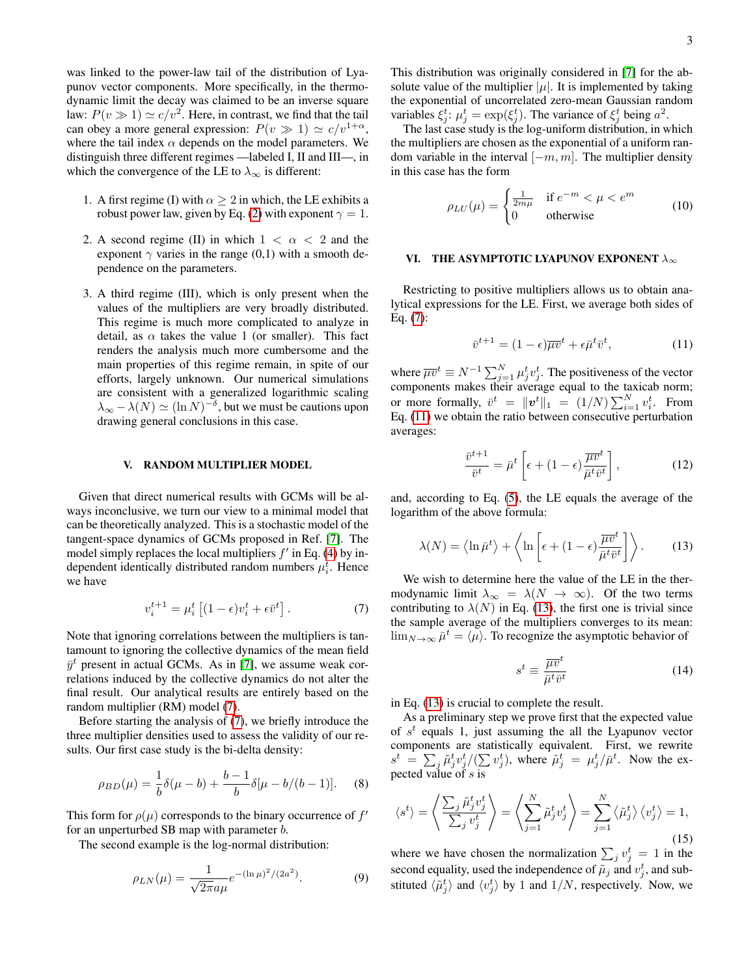was linked to the power-law tail of the distribution of Lyapunov vector components. More specifically, in the thermodynamic limit the decay was claimed to be an inverse square law:  $P(v \gg 1) \simeq c/v^2$ . Here, in contrast, we find that the tail can obey a more general expression:  $P(v \gg 1) \simeq c/v^{1+\alpha}$ , where the tail index  $\alpha$  depends on the model parameters. We distinguish three different regimes —labeled I, II and III—, in which the convergence of the LE to  $\lambda_{\infty}$  is different:

- 1. A first regime (I) with  $\alpha \geq 2$  in which, the LE exhibits a robust power law, given by Eq. [\(2\)](#page-0-1) with exponent  $\gamma = 1$ .
- 2. A second regime (II) in which  $1 < \alpha < 2$  and the exponent  $\gamma$  varies in the range (0,1) with a smooth dependence on the parameters.
- 3. A third regime (III), which is only present when the values of the multipliers are very broadly distributed. This regime is much more complicated to analyze in detail, as  $\alpha$  takes the value 1 (or smaller). This fact renders the analysis much more cumbersome and the main properties of this regime remain, in spite of our efforts, largely unknown. Our numerical simulations are consistent with a generalized logarithmic scaling  $\lambda_{\infty} - \lambda(N) \simeq (\ln N)^{-\delta}$ , but we must be cautions upon drawing general conclusions in this case.

### V. RANDOM MULTIPLIER MODEL

Given that direct numerical results with GCMs will be always inconclusive, we turn our view to a minimal model that can be theoretically analyzed. This is a stochastic model of the tangent-space dynamics of GCMs proposed in Ref. [\[7\]](#page-11-1). The model simply replaces the local multipliers  $f'$  in Eq. [\(4\)](#page-0-3) by independent identically distributed random numbers  $\mu_i^t$ . Hence we have

<span id="page-2-0"></span>
$$
v_i^{t+1} = \mu_i^t \left[ (1 - \epsilon) v_i^t + \epsilon \bar{v}^t \right]. \tag{7}
$$

Note that ignoring correlations between the multipliers is tantamount to ignoring the collective dynamics of the mean field  $\bar{y}^t$  present in actual GCMs. As in [\[7\]](#page-11-1), we assume weak correlations induced by the collective dynamics do not alter the final result. Our analytical results are entirely based on the random multiplier (RM) model [\(7\)](#page-2-0).

Before starting the analysis of [\(7\)](#page-2-0), we briefly introduce the three multiplier densities used to assess the validity of our results. Our first case study is the bi-delta density:

<span id="page-2-3"></span>
$$
\rho_{BD}(\mu) = \frac{1}{b}\delta(\mu - b) + \frac{b - 1}{b}\delta[\mu - b/(b - 1)].
$$
 (8)

This form for  $\rho(\mu)$  corresponds to the binary occurrence of  $f'$ for an unperturbed SB map with parameter b.

The second example is the log-normal distribution:

<span id="page-2-4"></span>
$$
\rho_{LN}(\mu) = \frac{1}{\sqrt{2\pi}a\mu}e^{-(\ln\mu)^2/(2a^2)}.
$$
 (9)

This distribution was originally considered in [\[7\]](#page-11-1) for the absolute value of the multiplier  $|\mu|$ . It is implemented by taking the exponential of uncorrelated zero-mean Gaussian random variables  $\xi_j^t$ :  $\mu_j^t = \exp(\xi_j^t)$ . The variance of  $\xi_j^t$  being  $a^2$ .

The last case study is the log-uniform distribution, in which the multipliers are chosen as the exponential of a uniform random variable in the interval  $[-m, m]$ . The multiplier density in this case has the form

<span id="page-2-5"></span>
$$
\rho_{LU}(\mu) = \begin{cases} \frac{1}{2m\mu} & \text{if } e^{-m} < \mu < e^m\\ 0 & \text{otherwise} \end{cases}
$$
 (10)

# <span id="page-2-6"></span>VI. THE ASYMPTOTIC LYAPUNOV EXPONENT  $\lambda_{\infty}$

Restricting to positive multipliers allows us to obtain analytical expressions for the LE. First, we average both sides of Eq. [\(7\)](#page-2-0):

<span id="page-2-1"></span>
$$
\bar{v}^{t+1} = (1 - \epsilon)\overline{\mu v}^t + \epsilon \bar{\mu}^t \bar{v}^t, \tag{11}
$$

where  $\overline{\mu v}^t \equiv N^{-1} \sum_{j=1}^N \mu_j^t v_j^t$ . The positiveness of the vector components makes their average equal to the taxicab norm; or more formally,  $\bar{v}^t = ||\mathbf{v}^t||_1 = (1/N) \sum_{i=1}^N v_i^t$ . From Eq. [\(11\)](#page-2-1) we obtain the ratio between consecutive perturbation averages:

$$
\frac{\bar{v}^{t+1}}{\bar{v}^t} = \bar{\mu}^t \left[ \epsilon + (1 - \epsilon) \frac{\overline{\mu v}^t}{\bar{\mu}^t \bar{v}^t} \right],\tag{12}
$$

and, according to Eq. [\(5\)](#page-1-1), the LE equals the average of the logarithm of the above formula:

<span id="page-2-2"></span>
$$
\lambda(N) = \left\langle \ln \bar{\mu}^t \right\rangle + \left\langle \ln \left[ \epsilon + (1 - \epsilon) \frac{\bar{\mu} \bar{v}^t}{\bar{\mu}^t \bar{v}^t} \right] \right\rangle. \tag{13}
$$

We wish to determine here the value of the LE in the thermodynamic limit  $\lambda_{\infty} = \lambda(N \to \infty)$ . Of the two terms contributing to  $\lambda(N)$  in Eq. [\(13\)](#page-2-2), the first one is trivial since the sample average of the multipliers converges to its mean:  $\lim_{N\to\infty}\bar{\mu}^t=\langle\mu\rangle$ . To recognize the asymptotic behavior of

$$
s^t \equiv \frac{\overline{\mu v}^t}{\overline{\mu}^t \overline{v}^t} \tag{14}
$$

in Eq. [\(13\)](#page-2-2) is crucial to complete the result.

As a preliminary step we prove first that the expected value of  $s^t$  equals 1, just assuming the all the Lyapunov vector components are statistically equivalent. First, we rewrite  $s^t = \sum_j \tilde{\mu}_j^t v_j^t / (\sum v_j^t)$ , where  $\tilde{\mu}_j^t = \mu_j^t / \bar{\mu}^t$ . Now the expected value of  $s$  is

$$
\langle s^t \rangle = \left\langle \frac{\sum_j \tilde{\mu}_j^t v_j^t}{\sum_j v_j^t} \right\rangle = \left\langle \sum_{j=1}^N \tilde{\mu}_j^t v_j^t \right\rangle = \sum_{j=1}^N \left\langle \tilde{\mu}_j^t \right\rangle \left\langle v_j^t \right\rangle = 1,
$$
\n(15)

where we have chosen the normalization  $\sum_j v_j^t = 1$  in the second equality, used the independence of  $\tilde{\mu}_j$  and  $v_j^t$ , and substituted  $\langle \tilde{\mu}_j^t \rangle$  and  $\langle v_j^t \rangle$  by 1 and  $1/N$ , respectively. Now, we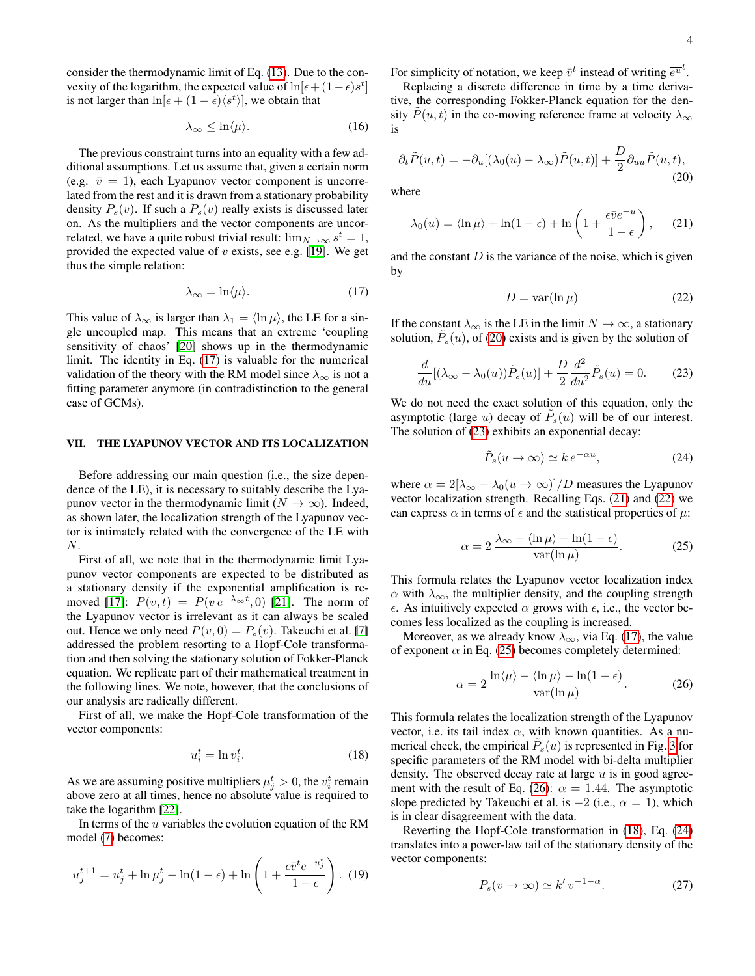consider the thermodynamic limit of Eq. [\(13\)](#page-2-2). Due to the convexity of the logarithm, the expected value of  $\ln[\epsilon + (1 - \epsilon)s^t]$ is not larger than  $\ln[\epsilon + (1 - \epsilon) \langle s^t \rangle]$ , we obtain that

<span id="page-3-10"></span>
$$
\lambda_{\infty} \leq \ln \langle \mu \rangle. \tag{16}
$$

The previous constraint turns into an equality with a few additional assumptions. Let us assume that, given a certain norm (e.g.  $\bar{v} = 1$ ), each Lyapunov vector component is uncorrelated from the rest and it is drawn from a stationary probability density  $P_s(v)$ . If such a  $P_s(v)$  really exists is discussed later on. As the multipliers and the vector components are uncorrelated, we have a quite robust trivial result:  $\lim_{N\to\infty} s^t = 1$ , provided the expected value of  $v$  exists, see e.g. [\[19\]](#page-11-9). We get thus the simple relation:

<span id="page-3-0"></span>
$$
\lambda_{\infty} = \ln \langle \mu \rangle. \tag{17}
$$

This value of  $\lambda_{\infty}$  is larger than  $\lambda_1 = \langle \ln \mu \rangle$ , the LE for a single uncoupled map. This means that an extreme 'coupling sensitivity of chaos' [\[20\]](#page-11-10) shows up in the thermodynamic limit. The identity in Eq. [\(17\)](#page-3-0) is valuable for the numerical validation of the theory with the RM model since  $\lambda_{\infty}$  is not a fitting parameter anymore (in contradistinction to the general case of GCMs).

# VII. THE LYAPUNOV VECTOR AND ITS LOCALIZATION

Before addressing our main question (i.e., the size dependence of the LE), it is necessary to suitably describe the Lyapunov vector in the thermodynamic limit ( $N \to \infty$ ). Indeed, as shown later, the localization strength of the Lyapunov vector is intimately related with the convergence of the LE with N.

First of all, we note that in the thermodynamic limit Lyapunov vector components are expected to be distributed as a stationary density if the exponential amplification is re-moved [\[17\]](#page-11-7):  $P(v,t) = P(v e^{-\lambda_{\infty} t}, 0)$  [\[21\]](#page-11-11). The norm of the Lyapunov vector is irrelevant as it can always be scaled out. Hence we only need  $P(v, 0) = P_s(v)$ . Takeuchi et al. [\[7\]](#page-11-1) addressed the problem resorting to a Hopf-Cole transformation and then solving the stationary solution of Fokker-Planck equation. We replicate part of their mathematical treatment in the following lines. We note, however, that the conclusions of our analysis are radically different.

First of all, we make the Hopf-Cole transformation of the vector components:

<span id="page-3-7"></span>
$$
u_i^t = \ln v_i^t. \tag{18}
$$

As we are assuming positive multipliers  $\mu_j^t > 0$ , the  $v_i^t$  remain above zero at all times, hence no absolute value is required to take the logarithm [\[22\]](#page-11-12).

In terms of the  $u$  variables the evolution equation of the RM model [\(7\)](#page-2-0) becomes:

$$
u_j^{t+1} = u_j^t + \ln \mu_j^t + \ln(1 - \epsilon) + \ln \left( 1 + \frac{\epsilon \bar{v}^t e^{-u_j^t}}{1 - \epsilon} \right). \tag{19}
$$

For simplicity of notation, we keep  $\bar{v}^t$  instead of writing  $\bar{e}^{\bar{u}^t}$ .

Replacing a discrete difference in time by a time derivative, the corresponding Fokker-Planck equation for the density  $P(u, t)$  in the co-moving reference frame at velocity  $\lambda_{\infty}$ is

<span id="page-3-1"></span>
$$
\partial_t \tilde{P}(u,t) = -\partial_u [(\lambda_0(u) - \lambda_\infty) \tilde{P}(u,t)] + \frac{D}{2} \partial_{uu} \tilde{P}(u,t),
$$
\n(20)

where

<span id="page-3-3"></span>
$$
\lambda_0(u) = \langle \ln \mu \rangle + \ln(1 - \epsilon) + \ln\left(1 + \frac{\epsilon \bar{v} e^{-u}}{1 - \epsilon}\right), \quad (21)
$$

and the constant  $D$  is the variance of the noise, which is given by

<span id="page-3-4"></span>
$$
D = \text{var}(\ln \mu) \tag{22}
$$

If the constant  $\lambda_{\infty}$  is the LE in the limit  $N \to \infty$ , a stationary solution,  $\tilde{P}_s(u)$ , of [\(20\)](#page-3-1) exists and is given by the solution of

<span id="page-3-2"></span>
$$
\frac{d}{du}[(\lambda_{\infty} - \lambda_0(u))\tilde{P}_s(u)] + \frac{D}{2}\frac{d^2}{du^2}\tilde{P}_s(u) = 0.
$$
 (23)

We do not need the exact solution of this equation, only the asymptotic (large u) decay of  $\tilde{P}_s(u)$  will be of our interest. The solution of [\(23\)](#page-3-2) exhibits an exponential decay:

<span id="page-3-8"></span>
$$
\tilde{P}_s(u \to \infty) \simeq k \, e^{-\alpha u},\tag{24}
$$

where  $\alpha = 2[\lambda_{\infty} - \lambda_0(u \to \infty)]/D$  measures the Lyapunov vector localization strength. Recalling Eqs. [\(21\)](#page-3-3) and [\(22\)](#page-3-4) we can express  $\alpha$  in terms of  $\epsilon$  and the statistical properties of  $\mu$ :

<span id="page-3-5"></span>
$$
\alpha = 2 \frac{\lambda_{\infty} - \langle \ln \mu \rangle - \ln(1 - \epsilon)}{\text{var}(\ln \mu)}.
$$
 (25)

This formula relates the Lyapunov vector localization index  $\alpha$  with  $\lambda_{\infty}$ , the multiplier density, and the coupling strength  $\epsilon$ . As intuitively expected  $\alpha$  grows with  $\epsilon$ , i.e., the vector becomes less localized as the coupling is increased.

Moreover, as we already know  $\lambda_{\infty}$ , via Eq. [\(17\)](#page-3-0), the value of exponent  $\alpha$  in Eq. [\(25\)](#page-3-5) becomes completely determined:

<span id="page-3-6"></span>
$$
\alpha = 2 \frac{\ln \langle \mu \rangle - \langle \ln \mu \rangle - \ln (1 - \epsilon)}{\text{var}(\ln \mu)}.
$$
 (26)

This formula relates the localization strength of the Lyapunov vector, i.e. its tail index  $\alpha$ , with known quantities. As a numerical check, the empirical  $\tilde{P}_s(u)$  is represented in Fig. [3](#page-4-0) for specific parameters of the RM model with bi-delta multiplier density. The observed decay rate at large  $u$  is in good agree-ment with the result of Eq. [\(26\)](#page-3-6):  $\alpha = 1.44$ . The asymptotic slope predicted by Takeuchi et al. is  $-2$  (i.e.,  $\alpha = 1$ ), which is in clear disagreement with the data.

Reverting the Hopf-Cole transformation in [\(18\)](#page-3-7), Eq. [\(24\)](#page-3-8) translates into a power-law tail of the stationary density of the vector components:

<span id="page-3-9"></span>
$$
P_s(v \to \infty) \simeq k' \, v^{-1-\alpha}.\tag{27}
$$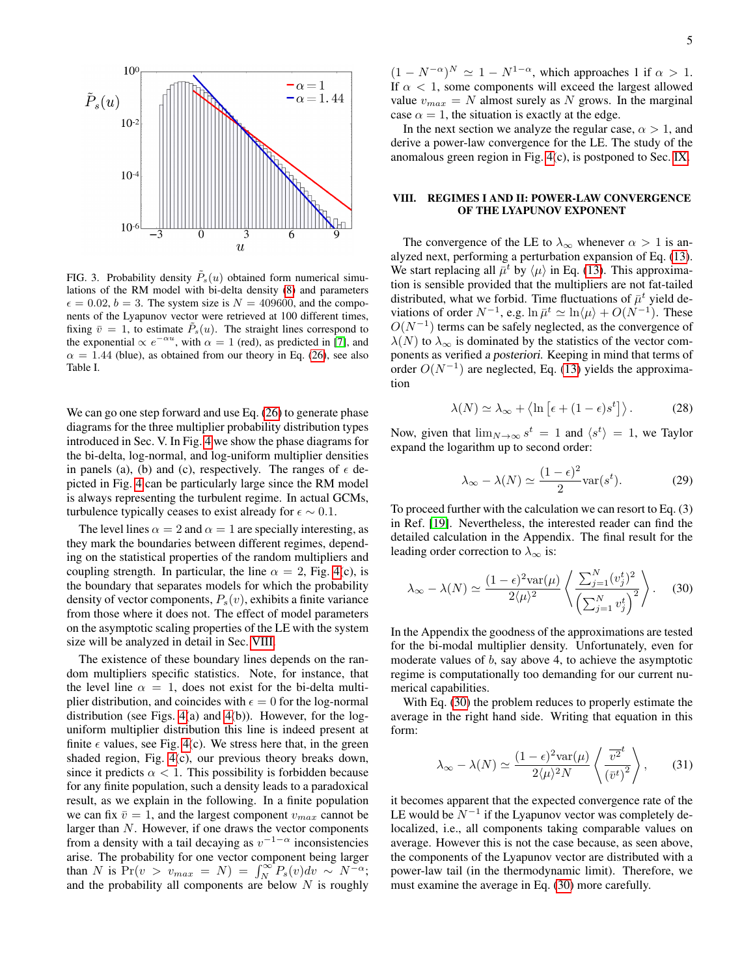

<span id="page-4-0"></span>FIG. 3. Probability density  $\tilde{P}_s(u)$  obtained form numerical simulations of the RM model with bi-delta density [\(8\)](#page-2-3) and parameters  $\epsilon = 0.02$ ,  $b = 3$ . The system size is  $N = 409600$ , and the components of the Lyapunov vector were retrieved at 100 different times, fixing  $\bar{v} = 1$ , to estimate  $\bar{P}_s(u)$ . The straight lines correspond to the exponential  $\propto e^{-\alpha u}$ , with  $\alpha = 1$  (red), as predicted in [\[7\]](#page-11-1), and  $\alpha = 1.44$  (blue), as obtained from our theory in Eq. [\(26\)](#page-3-6), see also Table I.

We can go one step forward and use Eq.  $(26)$  to generate phase diagrams for the three multiplier probability distribution types introduced in Sec. V. In Fig. [4](#page-5-0) we show the phase diagrams for the bi-delta, log-normal, and log-uniform multiplier densities in panels (a), (b) and (c), respectively. The ranges of  $\epsilon$  depicted in Fig. [4](#page-5-0) can be particularly large since the RM model is always representing the turbulent regime. In actual GCMs, turbulence typically ceases to exist already for  $\epsilon \sim 0.1$ .

The level lines  $\alpha = 2$  and  $\alpha = 1$  are specially interesting, as they mark the boundaries between different regimes, depending on the statistical properties of the random multipliers and coupling strength. In particular, the line  $\alpha = 2$ , Fig. [4\(](#page-5-0)c), is the boundary that separates models for which the probability density of vector components,  $P_s(v)$ , exhibits a finite variance from those where it does not. The effect of model parameters on the asymptotic scaling properties of the LE with the system size will be analyzed in detail in Sec. [VIII.](#page-4-1)

The existence of these boundary lines depends on the random multipliers specific statistics. Note, for instance, that the level line  $\alpha = 1$ , does not exist for the bi-delta multiplier distribution, and coincides with  $\epsilon = 0$  for the log-normal distribution (see Figs. [4\(](#page-5-0)a) and [4\(](#page-5-0)b)). However, for the loguniform multiplier distribution this line is indeed present at finite  $\epsilon$  values, see Fig. [4\(](#page-5-0)c). We stress here that, in the green shaded region, Fig. [4\(](#page-5-0)c), our previous theory breaks down, since it predicts  $\alpha < 1$ . This possibility is forbidden because for any finite population, such a density leads to a paradoxical result, as we explain in the following. In a finite population we can fix  $\bar{v} = 1$ , and the largest component  $v_{max}$  cannot be larger than N. However, if one draws the vector components from a density with a tail decaying as  $v^{-1-\alpha}$  inconsistencies arise. The probability for one vector component being larger than N is  $Pr(v > v_{max} = N) = \int_{N}^{\infty} P_s(v) dv \sim N^{-\alpha};$ and the probability all components are below  $N$  is roughly

 $(1 - N^{-\alpha})^N \simeq 1 - N^{1-\alpha}$ , which approaches 1 if  $\alpha > 1$ . If  $\alpha$  < 1, some components will exceed the largest allowed value  $v_{max} = N$  almost surely as N grows. In the marginal case  $\alpha = 1$ , the situation is exactly at the edge.

In the next section we analyze the regular case,  $\alpha > 1$ , and derive a power-law convergence for the LE. The study of the anomalous green region in Fig. [4\(](#page-5-0)c), is postponed to Sec. [IX.](#page-7-0)

# <span id="page-4-1"></span>VIII. REGIMES I AND II: POWER-LAW CONVERGENCE OF THE LYAPUNOV EXPONENT

The convergence of the LE to  $\lambda_{\infty}$  whenever  $\alpha > 1$  is analyzed next, performing a perturbation expansion of Eq. [\(13\)](#page-2-2). We start replacing all  $\bar{\mu}^t$  by  $\langle \mu \rangle$  in Eq. [\(13\)](#page-2-2). This approximation is sensible provided that the multipliers are not fat-tailed distributed, what we forbid. Time fluctuations of  $\bar{\mu}^t$  yield deviations of order  $N^{-1}$ , e.g.  $\ln \bar{\mu}^t \simeq \ln \langle \mu \rangle + O(N^{-1})$ . These  $O(N^{-1})$  terms can be safely neglected, as the convergence of  $\lambda(N)$  to  $\lambda_{\infty}$  is dominated by the statistics of the vector components as verified a posteriori. Keeping in mind that terms of order  $O(N^{-1})$  are neglected, Eq. [\(13\)](#page-2-2) yields the approximation

<span id="page-4-3"></span>
$$
\lambda(N) \simeq \lambda_{\infty} + \langle \ln \left[ \epsilon + (1 - \epsilon) s^t \right] \rangle. \tag{28}
$$

Now, given that  $\lim_{N \to \infty} s^t = 1$  and  $\langle s^t \rangle = 1$ , we Taylor expand the logarithm up to second order:

$$
\lambda_{\infty} - \lambda(N) \simeq \frac{(1 - \epsilon)^2}{2} \text{var}(s^t). \tag{29}
$$

To proceed further with the calculation we can resort to Eq. (3) in Ref. [\[19\]](#page-11-9). Nevertheless, the interested reader can find the detailed calculation in the Appendix. The final result for the leading order correction to  $\lambda_{\infty}$  is:

<span id="page-4-2"></span>
$$
\lambda_{\infty} - \lambda(N) \simeq \frac{(1 - \epsilon)^2 \text{var}(\mu)}{2\langle \mu \rangle^2} \left\langle \frac{\sum_{j=1}^N (v_j^t)^2}{\left(\sum_{j=1}^N v_j^t\right)^2} \right\rangle. \tag{30}
$$

In the Appendix the goodness of the approximations are tested for the bi-modal multiplier density. Unfortunately, even for moderate values of b, say above 4, to achieve the asymptotic regime is computationally too demanding for our current numerical capabilities.

With Eq. [\(30\)](#page-4-2) the problem reduces to properly estimate the average in the right hand side. Writing that equation in this form:

$$
\lambda_{\infty} - \lambda(N) \simeq \frac{(1 - \epsilon)^2 \text{var}(\mu)}{2\langle \mu \rangle^2 N} \left\langle \frac{\overline{v^2}^t}{\left(\overline{v}^t\right)^2} \right\rangle, \qquad (31)
$$

it becomes apparent that the expected convergence rate of the LE would be  $N^{-1}$  if the Lyapunov vector was completely delocalized, i.e., all components taking comparable values on average. However this is not the case because, as seen above, the components of the Lyapunov vector are distributed with a power-law tail (in the thermodynamic limit). Therefore, we must examine the average in Eq. [\(30\)](#page-4-2) more carefully.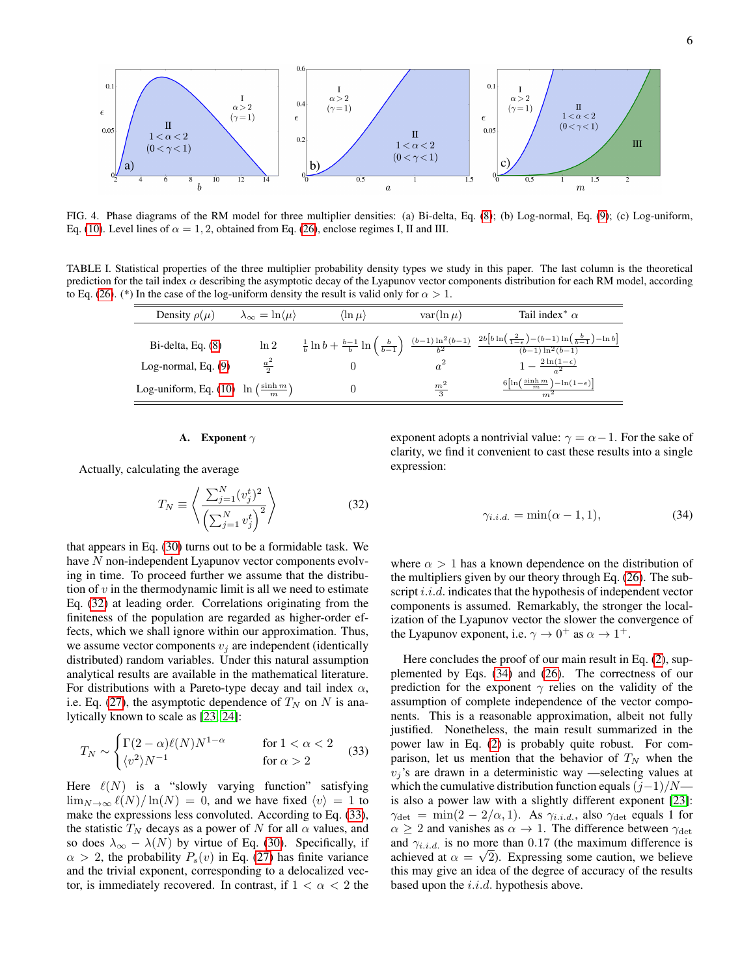

<span id="page-5-0"></span>FIG. 4. Phase diagrams of the RM model for three multiplier densities: (a) Bi-delta, Eq. [\(8\)](#page-2-3); (b) Log-normal, Eq. [\(9\)](#page-2-4); (c) Log-uniform, Eq. [\(10\)](#page-2-5). Level lines of  $\alpha = 1, 2$ , obtained from Eq. [\(26\)](#page-3-6), enclose regimes I, II and III.

TABLE I. Statistical properties of the three multiplier probability density types we study in this paper. The last column is the theoretical prediction for the tail index  $\alpha$  describing the asymptotic decay of the Lyapunov vector components distribution for each RM model, according to Eq. [\(26\)](#page-3-6). (\*) In the case of the log-uniform density the result is valid only for  $\alpha > 1$ .

<span id="page-5-4"></span>

| Density $\rho(\mu)$                                       | $\lambda_{\infty} = \ln \langle \mu \rangle$ | $\langle \ln \mu \rangle$ | $var(\ln \mu)$  | Tail index <sup>*</sup> $\alpha$                                                                                                                                                                                      |
|-----------------------------------------------------------|----------------------------------------------|---------------------------|-----------------|-----------------------------------------------------------------------------------------------------------------------------------------------------------------------------------------------------------------------|
| $Bi$ -delta, Eq. $(8)$                                    | $\ln 2$                                      |                           |                 | $\tfrac{1}{b}\ln b + \tfrac{b-1}{b}\ln\left(\tfrac{b}{b-1}\right)\ \tfrac{(b-1)\ln^2(b-1)}{h^2}\ \tfrac{2b\left[b\ln\left(\tfrac{2}{1-\epsilon}\right)-(b-1)\ln\left(\tfrac{b}{b-1}\right)-\ln b\right]}{(b-1)(b-1)}$ |
| Log-normal, Eq. $(9)$                                     | $rac{a^2}{2}$                                |                           |                 | $1-\frac{2\ln(1-\epsilon)}{2}$                                                                                                                                                                                        |
| Log-uniform, Eq. (10) $\ln\left(\frac{\sinh m}{m}\right)$ |                                              |                           | $\frac{m^2}{3}$ | $\frac{6\left[\ln\left(\frac{\sinh m}{m}\right)-\ln(1-\epsilon)\right]}{m}$                                                                                                                                           |

# **A.** Exponent  $\gamma$

Actually, calculating the average

<span id="page-5-1"></span>
$$
T_N \equiv \left\langle \frac{\sum_{j=1}^N (v_j^t)^2}{\left(\sum_{j=1}^N v_j^t\right)^2} \right\rangle \tag{32}
$$

that appears in Eq. [\(30\)](#page-4-2) turns out to be a formidable task. We have N non-independent Lyapunov vector components evolving in time. To proceed further we assume that the distribution of  $v$  in the thermodynamic limit is all we need to estimate Eq. [\(32\)](#page-5-1) at leading order. Correlations originating from the finiteness of the population are regarded as higher-order effects, which we shall ignore within our approximation. Thus, we assume vector components  $v_i$  are independent (identically distributed) random variables. Under this natural assumption analytical results are available in the mathematical literature. For distributions with a Pareto-type decay and tail index  $\alpha$ , i.e. Eq. [\(27\)](#page-3-9), the asymptotic dependence of  $T<sub>N</sub>$  on N is analytically known to scale as [\[23,](#page-11-13) [24\]](#page-11-14):

<span id="page-5-2"></span>
$$
T_N \sim \begin{cases} \Gamma(2-\alpha)\ell(N)N^{1-\alpha} & \text{for } 1 < \alpha < 2\\ \langle v^2 \rangle N^{-1} & \text{for } \alpha > 2 \end{cases} \tag{33}
$$

Here  $\ell(N)$  is a "slowly varying function" satisfying  $\lim_{N\to\infty} \ell(N)/\ln(N) = 0$ , and we have fixed  $\langle v \rangle = 1$  to make the expressions less convoluted. According to Eq. [\(33\)](#page-5-2), the statistic  $T_N$  decays as a power of N for all  $\alpha$  values, and so does  $\lambda_{\infty} - \lambda(N)$  by virtue of Eq. [\(30\)](#page-4-2). Specifically, if  $\alpha > 2$ , the probability  $P_s(v)$  in Eq. [\(27\)](#page-3-9) has finite variance and the trivial exponent, corresponding to a delocalized vector, is immediately recovered. In contrast, if  $1 < \alpha < 2$  the

exponent adopts a nontrivial value:  $\gamma = \alpha - 1$ . For the sake of clarity, we find it convenient to cast these results into a single expression:

<span id="page-5-3"></span>
$$
\gamma_{i.i.d.} = \min(\alpha - 1, 1),\tag{34}
$$

where  $\alpha > 1$  has a known dependence on the distribution of the multipliers given by our theory through Eq. [\(26\)](#page-3-6). The subscript *i.i.d.* indicates that the hypothesis of independent vector components is assumed. Remarkably, the stronger the localization of the Lyapunov vector the slower the convergence of the Lyapunov exponent, i.e.  $\gamma \to 0^+$  as  $\alpha \to 1^+$ .

Here concludes the proof of our main result in Eq. [\(2\)](#page-0-1), supplemented by Eqs. [\(34\)](#page-5-3) and [\(26\)](#page-3-6). The correctness of our prediction for the exponent  $\gamma$  relies on the validity of the assumption of complete independence of the vector components. This is a reasonable approximation, albeit not fully justified. Nonetheless, the main result summarized in the power law in Eq. [\(2\)](#page-0-1) is probably quite robust. For comparison, let us mention that the behavior of  $T_N$  when the  $v_j$ 's are drawn in a deterministic way —selecting values at which the cumulative distribution function equals  $(j-1)/N$  is also a power law with a slightly different exponent [\[23\]](#page-11-13):  $\gamma_{\text{det}} = \min(2 - 2/\alpha, 1)$ . As  $\gamma_{i.i.d.}$ , also  $\gamma_{\text{det}}$  equals 1 for  $\alpha \geq 2$  and vanishes as  $\alpha \to 1$ . The difference between  $\gamma_{\text{det}}$ and  $\gamma_{i.i.d.}$  is no more than 0.17 (the maximum difference is achieved at  $\alpha = \sqrt{2}$ ). Expressing some caution, we believe this may give an idea of the degree of accuracy of the results based upon the  $i.i.d.$  hypothesis above.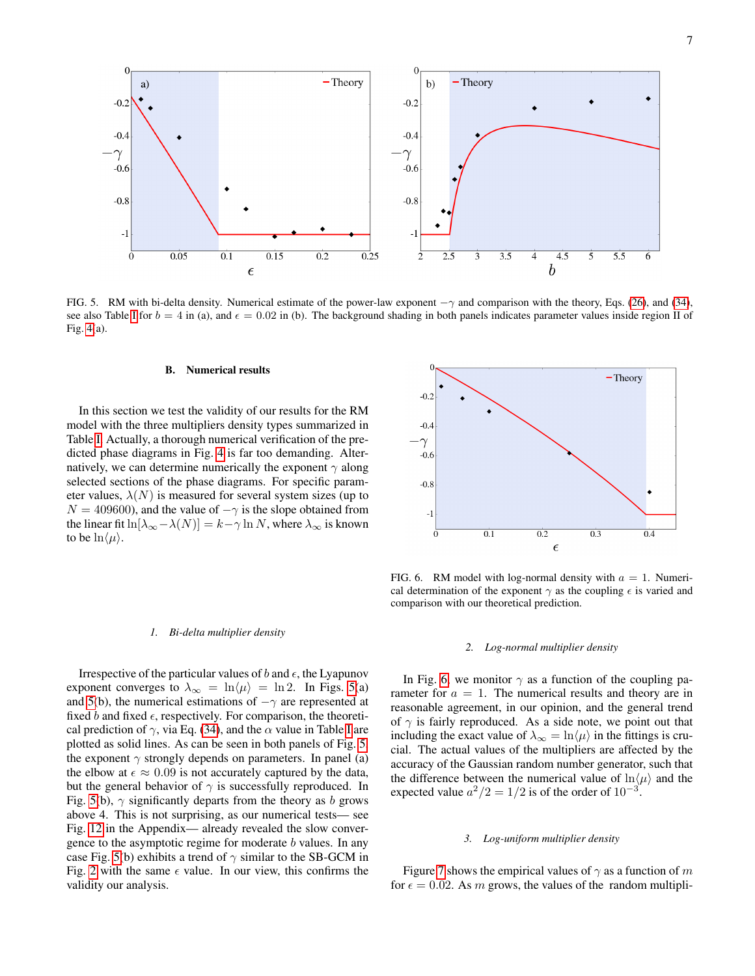

<span id="page-6-0"></span>FIG. 5. RM with bi-delta density. Numerical estimate of the power-law exponent  $-\gamma$  and comparison with the theory, Eqs. [\(26\)](#page-3-6), and [\(34\)](#page-5-3), see also Table [I](#page-5-4) for  $b = 4$  in (a), and  $\epsilon = 0.02$  in (b). The background shading in both panels indicates parameter values inside region II of Fig. [4\(](#page-5-0)a).

#### B. Numerical results

In this section we test the validity of our results for the RM model with the three multipliers density types summarized in Table [I.](#page-5-4) Actually, a thorough numerical verification of the predicted phase diagrams in Fig. [4](#page-5-0) is far too demanding. Alternatively, we can determine numerically the exponent  $\gamma$  along selected sections of the phase diagrams. For specific parameter values,  $\lambda(N)$  is measured for several system sizes (up to  $N = 409600$ , and the value of  $-\gamma$  is the slope obtained from the linear fit ln[ $\lambda_{\infty} - \lambda(N)$ ] =  $k - \gamma \ln N$ , where  $\lambda_{\infty}$  is known to be  $\ln \langle \mu \rangle$ .



<span id="page-6-1"></span>FIG. 6. RM model with log-normal density with  $a = 1$ . Numerical determination of the exponent  $\gamma$  as the coupling  $\epsilon$  is varied and comparison with our theoretical prediction.

# *2. Log-normal multiplier density*

In Fig. [6,](#page-6-1) we monitor  $\gamma$  as a function of the coupling parameter for  $a = 1$ . The numerical results and theory are in reasonable agreement, in our opinion, and the general trend of  $\gamma$  is fairly reproduced. As a side note, we point out that including the exact value of  $\lambda_{\infty} = \ln \langle \mu \rangle$  in the fittings is crucial. The actual values of the multipliers are affected by the accuracy of the Gaussian random number generator, such that the difference between the numerical value of  $\ln \langle \mu \rangle$  and the expected value  $a^2/2 = 1/2$  is of the order of  $10^{-3}$ .

#### *3. Log-uniform multiplier density*

Figure [7](#page-7-1) shows the empirical values of  $\gamma$  as a function of m for  $\epsilon = 0.02$ . As m grows, the values of the random multipli-

### *1. Bi-delta multiplier density*

Irrespective of the particular values of b and  $\epsilon$ , the Lyapunov exponent converges to  $\lambda_{\infty} = \ln \langle \mu \rangle = \ln 2$ . In Figs. [5\(](#page-6-0)a) and [5\(](#page-6-0)b), the numerical estimations of  $-\gamma$  are represented at fixed b and fixed  $\epsilon$ , respectively. For comparison, the theoretical prediction of  $\gamma$ , via Eq. [\(34\)](#page-5-3), and the  $\alpha$  value in Table [I](#page-5-4) are plotted as solid lines. As can be seen in both panels of Fig. [5,](#page-6-0) the exponent  $\gamma$  strongly depends on parameters. In panel (a) the elbow at  $\epsilon \approx 0.09$  is not accurately captured by the data, but the general behavior of  $\gamma$  is successfully reproduced. In Fig. [5\(](#page-6-0)b),  $\gamma$  significantly departs from the theory as b grows above 4. This is not surprising, as our numerical tests— see Fig. [12](#page-10-4) in the Appendix— already revealed the slow convergence to the asymptotic regime for moderate b values. In any case Fig. [5\(](#page-6-0)b) exhibits a trend of  $\gamma$  similar to the SB-GCM in Fig. [2](#page-1-3) with the same  $\epsilon$  value. In our view, this confirms the validity our analysis.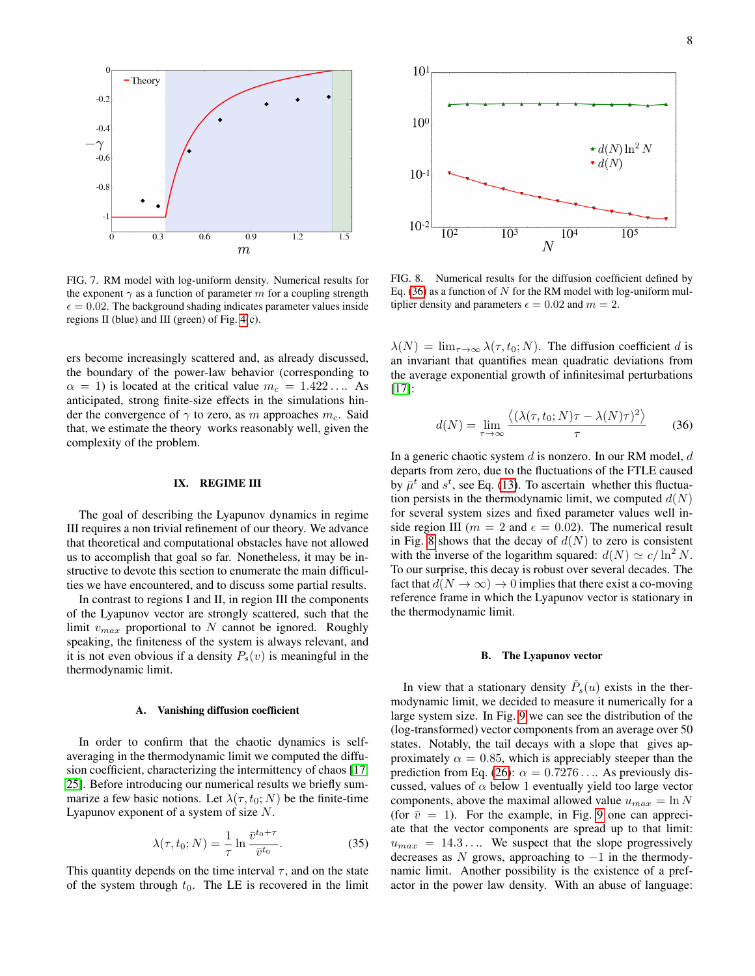

<span id="page-7-1"></span>FIG. 7. RM model with log-uniform density. Numerical results for the exponent  $\gamma$  as a function of parameter m for a coupling strength  $\epsilon = 0.02$ . The background shading indicates parameter values inside regions II (blue) and III (green) of Fig. [4\(](#page-5-0)c).

ers become increasingly scattered and, as already discussed, the boundary of the power-law behavior (corresponding to  $\alpha = 1$ ) is located at the critical value  $m_c = 1.422...$  As anticipated, strong finite-size effects in the simulations hinder the convergence of  $\gamma$  to zero, as m approaches  $m_c$ . Said that, we estimate the theory works reasonably well, given the complexity of the problem.

#### <span id="page-7-0"></span>IX. REGIME III

The goal of describing the Lyapunov dynamics in regime III requires a non trivial refinement of our theory. We advance that theoretical and computational obstacles have not allowed us to accomplish that goal so far. Nonetheless, it may be instructive to devote this section to enumerate the main difficulties we have encountered, and to discuss some partial results.

In contrast to regions I and II, in region III the components of the Lyapunov vector are strongly scattered, such that the limit  $v_{max}$  proportional to N cannot be ignored. Roughly speaking, the finiteness of the system is always relevant, and it is not even obvious if a density  $P_s(v)$  is meaningful in the thermodynamic limit.

# A. Vanishing diffusion coefficient

In order to confirm that the chaotic dynamics is selfaveraging in the thermodynamic limit we computed the diffusion coefficient, characterizing the intermittency of chaos [\[17,](#page-11-7) [25\]](#page-11-15). Before introducing our numerical results we briefly summarize a few basic notions. Let  $\lambda(\tau, t_0; N)$  be the finite-time Lyapunov exponent of a system of size N.

$$
\lambda(\tau, t_0; N) = \frac{1}{\tau} \ln \frac{\bar{v}^{t_0 + \tau}}{\bar{v}^{t_0}}.
$$
 (35)

This quantity depends on the time interval  $\tau$ , and on the state of the system through  $t_0$ . The LE is recovered in the limit



<span id="page-7-3"></span>FIG. 8. Numerical results for the diffusion coefficient defined by Eq. [\(36\)](#page-7-2) as a function of  $N$  for the RM model with log-uniform multiplier density and parameters  $\epsilon = 0.02$  and  $m = 2$ .

 $\lambda(N) = \lim_{\tau \to \infty} \lambda(\tau, t_0; N)$ . The diffusion coefficient d is an invariant that quantifies mean quadratic deviations from the average exponential growth of infinitesimal perturbations  $[17]$ :

<span id="page-7-2"></span>
$$
d(N) = \lim_{\tau \to \infty} \frac{\langle (\lambda(\tau, t_0; N)\tau - \lambda(N)\tau)^2 \rangle}{\tau}
$$
 (36)

In a generic chaotic system  $d$  is nonzero. In our RM model,  $d$ departs from zero, due to the fluctuations of the FTLE caused by  $\bar{\mu}^t$  and  $s^t$ , see Eq. [\(13\)](#page-2-2). To ascertain whether this fluctuation persists in the thermodynamic limit, we computed  $d(N)$ for several system sizes and fixed parameter values well inside region III ( $m = 2$  and  $\epsilon = 0.02$ ). The numerical result in Fig. [8](#page-7-3) shows that the decay of  $d(N)$  to zero is consistent with the inverse of the logarithm squared:  $d(N) \simeq c/\ln^2 N$ . To our surprise, this decay is robust over several decades. The fact that  $d(N \to \infty) \to 0$  implies that there exist a co-moving reference frame in which the Lyapunov vector is stationary in the thermodynamic limit.

# B. The Lyapunov vector

In view that a stationary density  $\tilde{P}_s(u)$  exists in the thermodynamic limit, we decided to measure it numerically for a large system size. In Fig. [9](#page-8-0) we can see the distribution of the (log-transformed) vector components from an average over 50 states. Notably, the tail decays with a slope that gives approximately  $\alpha = 0.85$ , which is appreciably steeper than the prediction from Eq. [\(26\)](#page-3-6):  $\alpha = 0.7276...$  As previously discussed, values of  $\alpha$  below 1 eventually yield too large vector components, above the maximal allowed value  $u_{max} = \ln N$ (for  $\bar{v} = 1$ ). For the example, in Fig. [9](#page-8-0) one can appreciate that the vector components are spread up to that limit:  $u_{max} = 14.3...$  We suspect that the slope progressively decreases as N grows, approaching to  $-1$  in the thermodynamic limit. Another possibility is the existence of a prefactor in the power law density. With an abuse of language: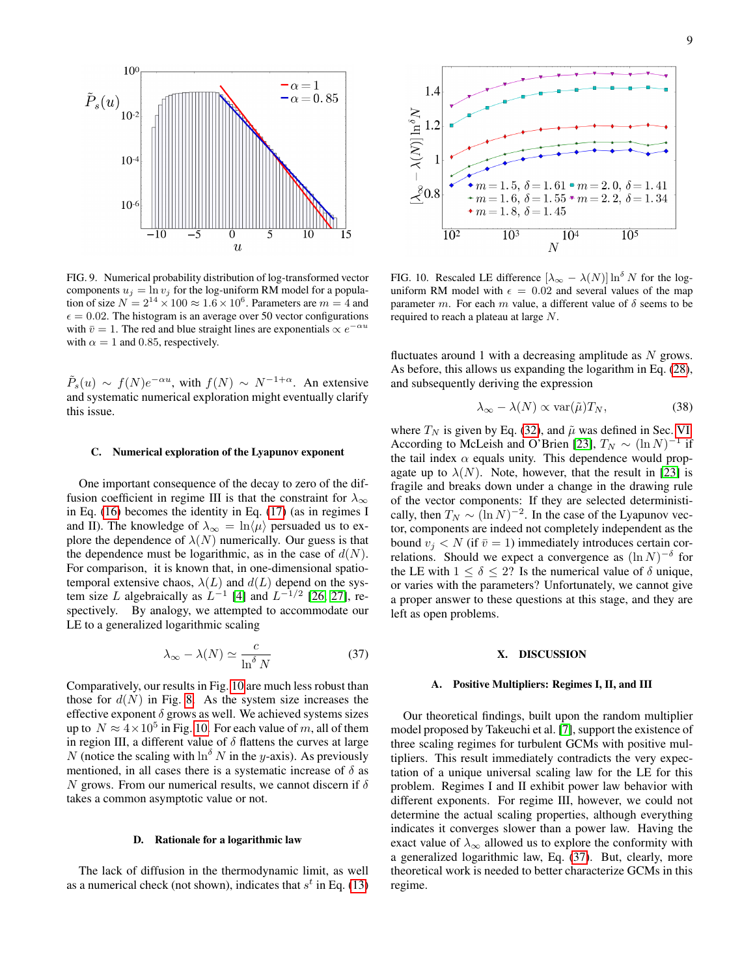

<span id="page-8-0"></span>FIG. 9. Numerical probability distribution of log-transformed vector components  $u_j = \ln v_j$  for the log-uniform RM model for a population of size  $N = 2^{14} \times 100 \approx 1.6 \times 10^6$ . Parameters are  $m = 4$  and  $\epsilon = 0.02$ . The histogram is an average over 50 vector configurations with  $\bar{v} = 1$ . The red and blue straight lines are exponentials  $\propto e^{-\alpha u}$ with  $\alpha = 1$  and 0.85, respectively.

 $\tilde{P}_s(u) \sim f(N)e^{-\alpha u}$ , with  $f(N) \sim N^{-1+\alpha}$ . An extensive and systematic numerical exploration might eventually clarify this issue.

#### C. Numerical exploration of the Lyapunov exponent

One important consequence of the decay to zero of the diffusion coefficient in regime III is that the constraint for  $\lambda_{\infty}$ in Eq. [\(16\)](#page-3-10) becomes the identity in Eq. [\(17\)](#page-3-0) (as in regimes I and II). The knowledge of  $\lambda_{\infty} = \ln \langle \mu \rangle$  persuaded us to explore the dependence of  $\lambda(N)$  numerically. Our guess is that the dependence must be logarithmic, as in the case of  $d(N)$ . For comparison, it is known that, in one-dimensional spatiotemporal extensive chaos,  $\lambda(L)$  and  $d(L)$  depend on the system size L algebraically as  $L^{-1}$  [\[4\]](#page-10-5) and  $L^{-1/2}$  [\[26,](#page-11-16) [27\]](#page-11-17), respectively. By analogy, we attempted to accommodate our LE to a generalized logarithmic scaling

<span id="page-8-2"></span>
$$
\lambda_{\infty} - \lambda(N) \simeq \frac{c}{\ln^{\delta} N} \tag{37}
$$

Comparatively, our results in Fig. [10](#page-8-1) are much less robust than those for  $d(N)$  in Fig. [8.](#page-7-3) As the system size increases the effective exponent  $\delta$  grows as well. We achieved systems sizes up to  $N \approx 4 \times 10^5$  in Fig. [10.](#page-8-1) For each value of m, all of them in region III, a different value of  $\delta$  flattens the curves at large N (notice the scaling with  $\ln^{\delta} N$  in the y-axis). As previously mentioned, in all cases there is a systematic increase of  $\delta$  as N grows. From our numerical results, we cannot discern if  $\delta$ takes a common asymptotic value or not.

# D. Rationale for a logarithmic law

The lack of diffusion in the thermodynamic limit, as well as a numerical check (not shown), indicates that  $s^t$  in Eq. [\(13\)](#page-2-2)



<span id="page-8-1"></span>FIG. 10. Rescaled LE difference  $[\lambda_{\infty} - \lambda(N)] \ln^{\delta} N$  for the loguniform RM model with  $\epsilon = 0.02$  and several values of the map parameter m. For each m value, a different value of  $\delta$  seems to be required to reach a plateau at large N.

fluctuates around 1 with a decreasing amplitude as  $N$  grows. As before, this allows us expanding the logarithm in Eq. [\(28\)](#page-4-3), and subsequently deriving the expression

$$
\lambda_{\infty} - \lambda(N) \propto \text{var}(\tilde{\mu}) T_N,
$$
\n(38)

where  $T_N$  is given by Eq. [\(32\)](#page-5-1), and  $\tilde{\mu}$  was defined in Sec. [VI.](#page-2-6) According to McLeish and O'Brien [\[23\]](#page-11-13),  $T_N \sim (\ln N)^{-1}$  if the tail index  $\alpha$  equals unity. This dependence would propagate up to  $\lambda(N)$ . Note, however, that the result in [\[23\]](#page-11-13) is fragile and breaks down under a change in the drawing rule of the vector components: If they are selected deterministically, then  $T_N \sim (\ln N)^{-2}$ . In the case of the Lyapunov vector, components are indeed not completely independent as the bound  $v_i < N$  (if  $\bar{v} = 1$ ) immediately introduces certain correlations. Should we expect a convergence as  $(\ln N)^{-\delta}$  for the LE with  $1 \le \delta \le 2$ ? Is the numerical value of  $\delta$  unique, or varies with the parameters? Unfortunately, we cannot give a proper answer to these questions at this stage, and they are left as open problems.

## X. DISCUSSION

#### A. Positive Multipliers: Regimes I, II, and III

Our theoretical findings, built upon the random multiplier model proposed by Takeuchi et al. [\[7\]](#page-11-1), support the existence of three scaling regimes for turbulent GCMs with positive multipliers. This result immediately contradicts the very expectation of a unique universal scaling law for the LE for this problem. Regimes I and II exhibit power law behavior with different exponents. For regime III, however, we could not determine the actual scaling properties, although everything indicates it converges slower than a power law. Having the exact value of  $\lambda_{\infty}$  allowed us to explore the conformity with a generalized logarithmic law, Eq. [\(37\)](#page-8-2). But, clearly, more theoretical work is needed to better characterize GCMs in this regime.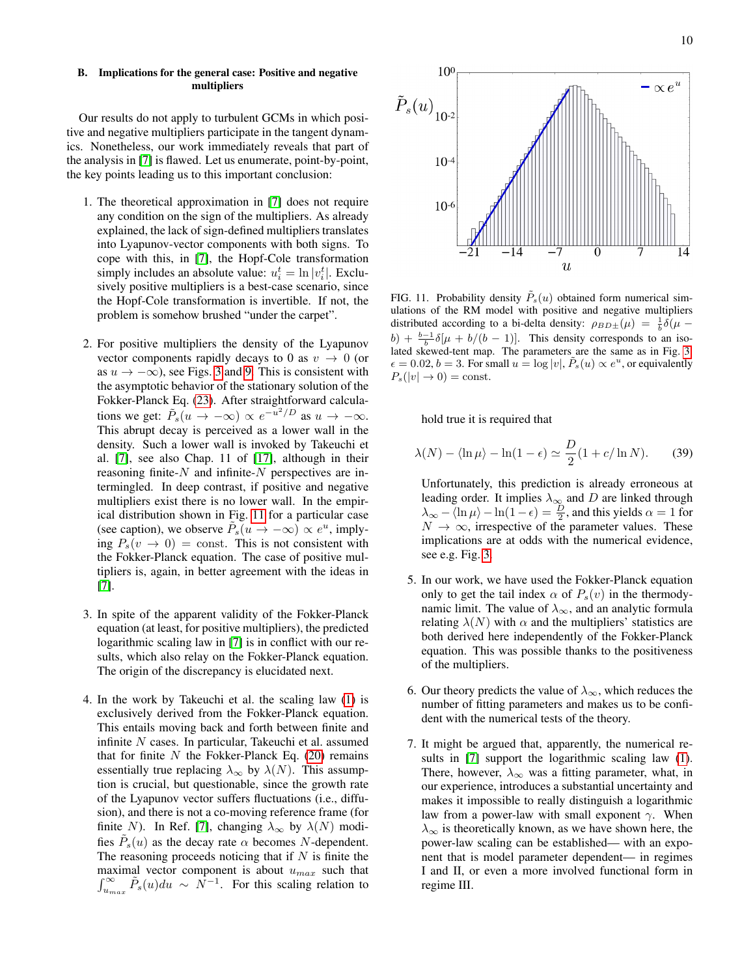Our results do not apply to turbulent GCMs in which positive and negative multipliers participate in the tangent dynamics. Nonetheless, our work immediately reveals that part of the analysis in [\[7\]](#page-11-1) is flawed. Let us enumerate, point-by-point, the key points leading us to this important conclusion:

- 1. The theoretical approximation in [\[7\]](#page-11-1) does not require any condition on the sign of the multipliers. As already explained, the lack of sign-defined multipliers translates into Lyapunov-vector components with both signs. To cope with this, in [\[7\]](#page-11-1), the Hopf-Cole transformation simply includes an absolute value:  $u_i^t = \ln |v_i^t|$ . Exclusively positive multipliers is a best-case scenario, since the Hopf-Cole transformation is invertible. If not, the problem is somehow brushed "under the carpet".
- 2. For positive multipliers the density of the Lyapunov vector components rapidly decays to 0 as  $v \rightarrow 0$  (or as  $u \rightarrow -\infty$ , see Figs. [3](#page-4-0) and [9.](#page-8-0) This is consistent with the asymptotic behavior of the stationary solution of the Fokker-Planck Eq. [\(23\)](#page-3-2). After straightforward calculations we get:  $\tilde{P}_s(u \to -\infty) \propto e^{-u^2/D}$  as  $u \to -\infty$ . This abrupt decay is perceived as a lower wall in the density. Such a lower wall is invoked by Takeuchi et al. [\[7\]](#page-11-1), see also Chap. 11 of [\[17\]](#page-11-7), although in their reasoning finite- $N$  and infinite- $N$  perspectives are intermingled. In deep contrast, if positive and negative multipliers exist there is no lower wall. In the empirical distribution shown in Fig. [11](#page-9-0) for a particular case (see caption), we observe  $\tilde{P}_s(u \to -\infty) \propto e^u$ , implying  $P_s(v \rightarrow 0) = \text{const.}$  This is not consistent with the Fokker-Planck equation. The case of positive multipliers is, again, in better agreement with the ideas in [\[7\]](#page-11-1).
- 3. In spite of the apparent validity of the Fokker-Planck equation (at least, for positive multipliers), the predicted logarithmic scaling law in [\[7\]](#page-11-1) is in conflict with our results, which also relay on the Fokker-Planck equation. The origin of the discrepancy is elucidated next.
- 4. In the work by Takeuchi et al. the scaling law [\(1\)](#page-0-0) is exclusively derived from the Fokker-Planck equation. This entails moving back and forth between finite and infinite N cases. In particular, Takeuchi et al. assumed that for finite  $N$  the Fokker-Planck Eq. [\(20\)](#page-3-1) remains essentially true replacing  $\lambda_{\infty}$  by  $\lambda(N)$ . This assumption is crucial, but questionable, since the growth rate of the Lyapunov vector suffers fluctuations (i.e., diffusion), and there is not a co-moving reference frame (for finite N). In Ref. [\[7\]](#page-11-1), changing  $\lambda_{\infty}$  by  $\lambda(N)$  modifies  $\tilde{P}_s(u)$  as the decay rate  $\alpha$  becomes N-dependent. The reasoning proceeds noticing that if  $N$  is finite the maximal vector component is about  $u_{max}$  such that  $\int_{u_{max}}^{\infty} \tilde{P}_s(u) du \sim N^{-1}$ . For this scaling relation to



<span id="page-9-0"></span>FIG. 11. Probability density  $\tilde{P}_s(u)$  obtained form numerical simulations of the RM model with positive and negative multipliers distributed according to a bi-delta density:  $\rho_{BD\pm}(\mu) = \frac{1}{b}\delta(\mu$  $b) + \frac{b-1}{b}\delta[\mu + b/(b-1)].$  This density corresponds to an isolated skewed-tent map. The parameters are the same as in Fig. [3:](#page-4-0)  $\epsilon = 0.02, b = 3$ . For small  $u = \log|v|$ ,  $\tilde{P}_s(u) \propto e^u$ , or equivalently  $P_s(|v| \to 0) = \text{const.}$ 

hold true it is required that

$$
\lambda(N) - \langle \ln \mu \rangle - \ln(1 - \epsilon) \simeq \frac{D}{2} (1 + c/\ln N). \tag{39}
$$

- Unfortunately, this prediction is already erroneous at leading order. It implies  $\lambda_{\infty}$  and D are linked through  $\lambda_{\infty} - \langle \ln \mu \rangle - \ln(1 - \epsilon) = \frac{D}{2}$ , and this yields  $\alpha = 1$  for  $N \to \infty$ , irrespective of the parameter values. These implications are at odds with the numerical evidence, see e.g. Fig. [3.](#page-4-0)
- 5. In our work, we have used the Fokker-Planck equation only to get the tail index  $\alpha$  of  $P_s(v)$  in the thermodynamic limit. The value of  $\lambda_{\infty}$ , and an analytic formula relating  $\lambda(N)$  with  $\alpha$  and the multipliers' statistics are both derived here independently of the Fokker-Planck equation. This was possible thanks to the positiveness of the multipliers.
- 6. Our theory predicts the value of  $\lambda_{\infty}$ , which reduces the number of fitting parameters and makes us to be confident with the numerical tests of the theory.
- 7. It might be argued that, apparently, the numerical results in [\[7\]](#page-11-1) support the logarithmic scaling law [\(1\)](#page-0-0). There, however,  $\lambda_{\infty}$  was a fitting parameter, what, in our experience, introduces a substantial uncertainty and makes it impossible to really distinguish a logarithmic law from a power-law with small exponent  $\gamma$ . When  $\lambda_{\infty}$  is theoretically known, as we have shown here, the power-law scaling can be established— with an exponent that is model parameter dependent— in regimes I and II, or even a more involved functional form in regime III.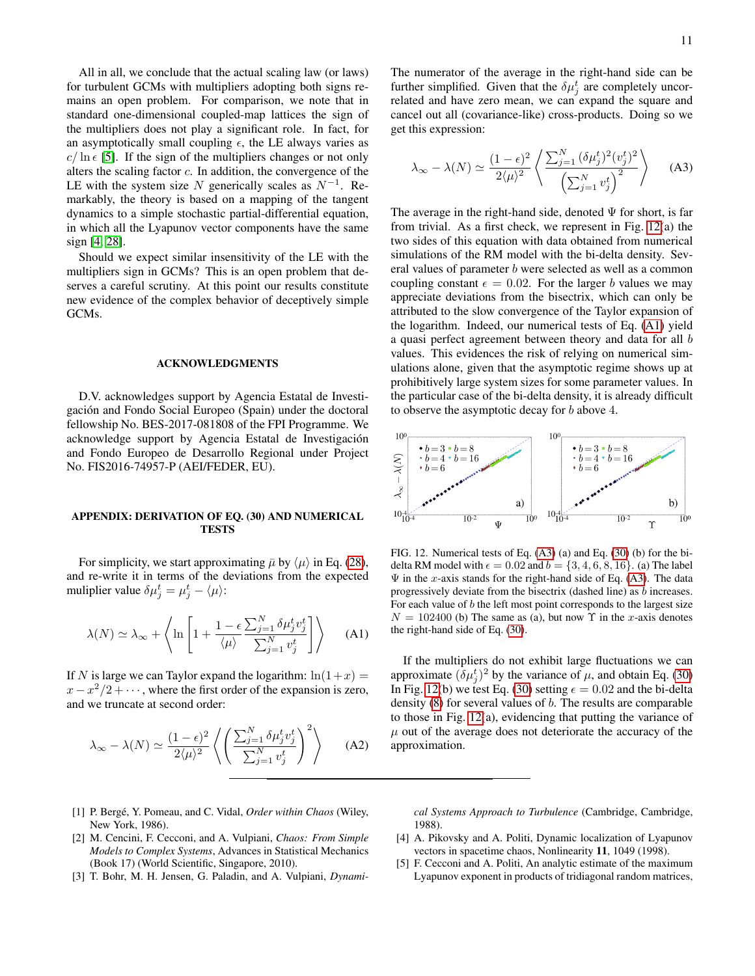All in all, we conclude that the actual scaling law (or laws) for turbulent GCMs with multipliers adopting both signs remains an open problem. For comparison, we note that in standard one-dimensional coupled-map lattices the sign of the multipliers does not play a significant role. In fact, for an asymptotically small coupling  $\epsilon$ , the LE always varies as  $c/\ln \epsilon$  [\[5\]](#page-10-3). If the sign of the multipliers changes or not only alters the scaling factor  $c$ . In addition, the convergence of the LE with the system size N generically scales as  $N^{-1}$ . Remarkably, the theory is based on a mapping of the tangent dynamics to a simple stochastic partial-differential equation, in which all the Lyapunov vector components have the same sign [\[4,](#page-10-5) [28\]](#page-11-18).

Should we expect similar insensitivity of the LE with the multipliers sign in GCMs? This is an open problem that deserves a careful scrutiny. At this point our results constitute new evidence of the complex behavior of deceptively simple GCMs.

# ACKNOWLEDGMENTS

D.V. acknowledges support by Agencia Estatal de Investigación and Fondo Social Europeo (Spain) under the doctoral fellowship No. BES-2017-081808 of the FPI Programme. We acknowledge support by Agencia Estatal de Investigacion´ and Fondo Europeo de Desarrollo Regional under Project No. FIS2016-74957-P (AEI/FEDER, EU).

# APPENDIX: DERIVATION OF EQ. (30) AND NUMERICAL TESTS

For simplicity, we start approximating  $\bar{\mu}$  by  $\langle \mu \rangle$  in Eq. [\(28\)](#page-4-3), and re-write it in terms of the deviations from the expected muliplier value  $\delta \mu_j^t = \mu_j^t - \langle \mu \rangle$ :

<span id="page-10-6"></span>
$$
\lambda(N) \simeq \lambda_{\infty} + \left\langle \ln \left[ 1 + \frac{1 - \epsilon}{\langle \mu \rangle} \frac{\sum_{j=1}^{N} \delta \mu_{j}^{t} v_{j}^{t}}{\sum_{j=1}^{N} v_{j}^{t}} \right] \right\rangle \tag{A1}
$$

If N is large we can Taylor expand the logarithm:  $ln(1+x)$  =  $x - x^2/2 + \cdots$ , where the first order of the expansion is zero, and we truncate at second order:

$$
\lambda_{\infty} - \lambda(N) \simeq \frac{(1 - \epsilon)^2}{2\langle \mu \rangle^2} \left\langle \left( \frac{\sum_{j=1}^N \delta \mu_j^t v_j^t}{\sum_{j=1}^N v_j^t} \right)^2 \right\rangle \tag{A2}
$$

The numerator of the average in the right-hand side can be further simplified. Given that the  $\delta \mu_j^t$  are completely uncorrelated and have zero mean, we can expand the square and cancel out all (covariance-like) cross-products. Doing so we get this expression:

<span id="page-10-7"></span>
$$
\lambda_{\infty} - \lambda(N) \simeq \frac{(1 - \epsilon)^2}{2\langle \mu \rangle^2} \left\langle \frac{\sum_{j=1}^N (\delta \mu_j^t)^2 (v_j^t)^2}{\left(\sum_{j=1}^N v_j^t\right)^2} \right\rangle \tag{A3}
$$

The average in the right-hand side, denoted  $\Psi$  for short, is far from trivial. As a first check, we represent in Fig. [12\(](#page-10-4)a) the two sides of this equation with data obtained from numerical simulations of the RM model with the bi-delta density. Several values of parameter b were selected as well as a common coupling constant  $\epsilon = 0.02$ . For the larger b values we may appreciate deviations from the bisectrix, which can only be attributed to the slow convergence of the Taylor expansion of the logarithm. Indeed, our numerical tests of Eq. [\(A1\)](#page-10-6) yield a quasi perfect agreement between theory and data for all b values. This evidences the risk of relying on numerical simulations alone, given that the asymptotic regime shows up at prohibitively large system sizes for some parameter values. In the particular case of the bi-delta density, it is already difficult to observe the asymptotic decay for b above 4.



<span id="page-10-4"></span>FIG. 12. Numerical tests of Eq. [\(A3\)](#page-10-7) (a) and Eq. [\(30\)](#page-4-2) (b) for the bidelta RM model with  $\epsilon = 0.02$  and  $b = \{3, 4, 6, 8, 16\}$ . (a) The label  $\Psi$  in the x-axis stands for the right-hand side of Eq. [\(A3\)](#page-10-7). The data progressively deviate from the bisectrix (dashed line) as b increases. For each value of  $b$  the left most point corresponds to the largest size  $N = 102400$  (b) The same as (a), but now  $\Upsilon$  in the x-axis denotes the right-hand side of Eq. [\(30\)](#page-4-2).

If the multipliers do not exhibit large fluctuations we can approximate  $(\delta \mu_j^t)^2$  by the variance of  $\mu$ , and obtain Eq. [\(30\)](#page-4-2) In Fig. [12\(](#page-10-4)b) we test Eq. [\(30\)](#page-4-2) setting  $\epsilon = 0.02$  and the bi-delta density  $(8)$  for several values of  $b$ . The results are comparable to those in Fig. [12\(](#page-10-4)a), evidencing that putting the variance of  $\mu$  out of the average does not deteriorate the accuracy of the approximation.

- <span id="page-10-0"></span>[1] P. Bergé, Y. Pomeau, and C. Vidal, Order within Chaos (Wiley, New York, 1986).
- <span id="page-10-1"></span>[2] M. Cencini, F. Cecconi, and A. Vulpiani, *Chaos: From Simple Models to Complex Systems*, Advances in Statistical Mechanics (Book 17) (World Scientific, Singapore, 2010).
- <span id="page-10-2"></span>[3] T. Bohr, M. H. Jensen, G. Paladin, and A. Vulpiani, *Dynami-*

*cal Systems Approach to Turbulence* (Cambridge, Cambridge, 1988).

- <span id="page-10-5"></span>[4] A. Pikovsky and A. Politi, Dynamic localization of Lyapunov vectors in spacetime chaos, Nonlinearity 11, 1049 (1998).
- <span id="page-10-3"></span>[5] F. Cecconi and A. Politi, An analytic estimate of the maximum Lyapunov exponent in products of tridiagonal random matrices,